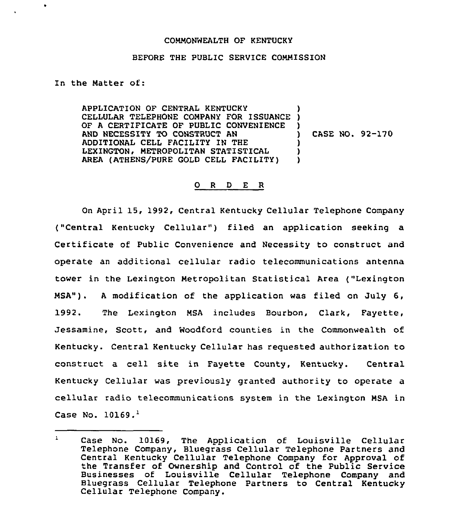## COMMONWEALTH OF KENTUCKY

## BEFORE THE PUBLIC SERVICE COMMISSION

In the Matter of:

 $\bullet$ 

APPLICATION OF CENTRAL KENTUCKY CELLULAR TELEPHONE COMPANY FOR ISSUANCE OF <sup>A</sup> CERTIFICATE OF PUBLIC CONVENIENCE AND NECESSITY TO CONSTRUCT AN ADDITIONAL CELL FACILITY IN THE LEXINGTON, METROPOLITAN STATISTICAL AREA (ATHENS/PURE GOLD CELL FACILITY) ) )  $\frac{1}{1}$ ) CASE NO. 92-170 **ן** ) )

## 0 <sup>R</sup> <sup>D</sup> E <sup>R</sup>

On April 15, 1992, Central Kentucky Cellular Telephone Company ("Central Kentucky Cellular") filed an application seeking a Certificate of Public Convenience and Necessity to construct and operate an additional cellular radio telecommunications antenna tower in the Lexington Metropolitan Statistical Area ("Lexington MSA"). <sup>A</sup> modification of the application was filed on July 6, 1992. The Lexington MSA includes Bourbon, Clark, Fayette, Jessamine, Scott, and Woodford counties in the Commonwealth of Kentucky. Central Kentucky Cellular has reguested authorization to construct a cell site in Fayette County, Kentucky. Central Kentucky Cellular was previously granted authority to operate a cellular radio telecommunications system in the Lexington MSA in Case No.  $10169.$ <sup>1</sup>

 $\mathbf{1}$ Case No. 10169, The Application of Louisville Cellular Telephone Company, Bluegrass Cellular Telephone Partners and Central Kentucky Cellular Telephone Company for Approval of the Transfer of Ownership and Control of the Public Service Businesses of Louisville Cellular Telephone Company and Bluegrass Cellular Telephone Partners to Central Kentucky Cellular Telephone Company.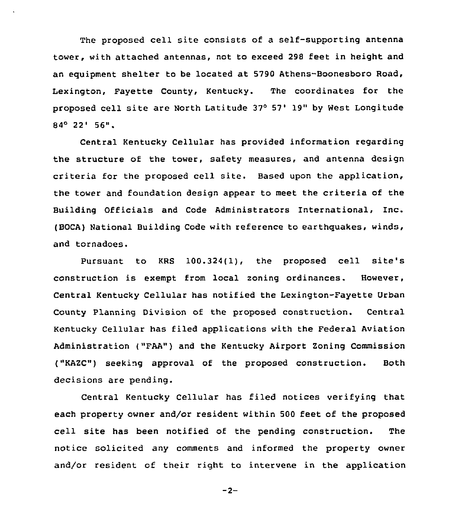The proposed cell site consists of a self-supporting antenna tower, with attached antennas, not to exceed 298 feet in height and an equipment shelter to be located at 5790 Athens-Boonesboro Road, Lexington, Fayette County, Kentucky. The coordinates for the proposed cell site are North Latitude 37° 57' 19" by West Longitude  $84^{\circ}$  22' 56".

Central Kentucky Cellular has provided information regarding the structure of the tower, safety measures, and antenna design criteria for the proposed cell site. Based upon the application, the tower and foundation design appear to meet the criteria of the Building Officials and Code Administrators International, Inc. (BOCA) National Building Code with reference to earthquakes, winds, and tornadoes.

Pursuant to KRS 100.324(1), the proposed cell site's construction is exempt from local zoning ordinances. However, Central Kentucky Cellular has notified the Lexington-Fayette Urban County Planning Division of the proposed construction. Central Kentucky Cellular has filed applications with the Federal Aviation Administration ("FAA") and the Kentucky Airport Zoning Commission ("KAZC") seeking approval of the proposed construction. Both decisions are pending.

Central Kentucky Cellular has filed notices verifying that each property owner and/or resident within 500 feet of the proposed cell site has been notified of the pending construction. The notice solicited any comments and informed the property owner and/or resident of their right to intervene in the application

 $-2-$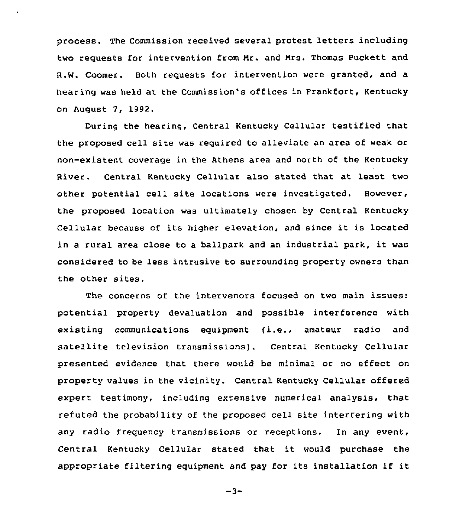process. The Commission received several protest letters including two requests for intervention from Mr. and Mrs. Thomas Puckett and R.W. Coomer. Both requests for intervention were granted, and a hearing was held at the Commission's offices in Frankfort, Kentucky on August 7, 1992.

During the hearing, Central Kentucky Cellular testified that the proposed cell site was required to alleviate an area of weak or non-existent coverage in the Athens area and north of the Kentucky River. Central Kentucky Cellular also stated that at least two other potential cell site locations were investigated. However, the proposed location was ultimately chosen by Central Kentucky Cellular because of its higher elevation, and since it is located in a rural area close to a ballpark and an industrial park, it was considered to be less intrusive to surrounding property owners than the other sites.

The concerns of the intervenors focused on two main issues: potential property devaluation and possible interference with existing communications equipment (i.e., amateur radio and satellite television transmissions). Central Kentucky Cellular presented evidence that there would be minimal or no effect on property values in the vicinity. Central Kentucky Cellular offered expert testimony, including extensive numerical analysis, that refuted the probability of the proposed cell site interfering with any radio frequency transmissions or receptions. In any event, Central Kentucky Cellular stated that it would purchase the appropriate filtering equipment and pay for its installation if it

 $-3-$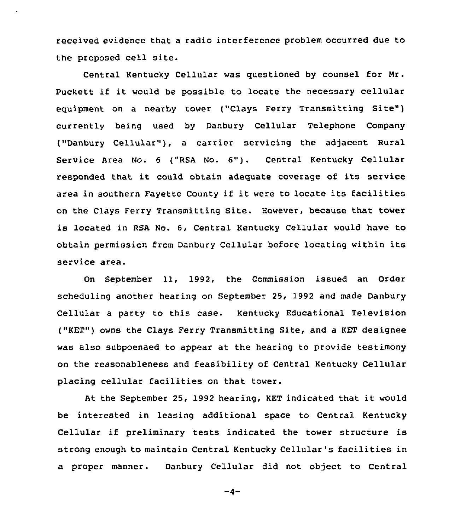received evidence that a radio interference problem occurred due to the proposed cell site.

Central Kentucky Cellular was questioned by counsel for Nr. Puckett if it would be possible to locate the necessary cellular equipment on a nearby tower ("Clays Ferry Transmitting Site") currently being used by Danbury Cellular Telephone Company ("Danbury Cellular"), a carrier servicing the adjacent Rural service Area No. <sup>6</sup> ("RsA No. 6"). central Kentucky cellular responded that it could obtain adequate coverage of its service area in southern Fayette County if it were to locate its facilities on the Clays Ferry Transmitting Site. However, because that tower is located in RSA No. 6, Central Kentucky Cellular would have to obtain permission from Danbury Cellular before locating within its service area.

On September 11, 1992, the Commission issued an Order scheduling another hearing on September 25, 1992 and made Danbury Cellular a party to this case. Kentucky Educational Television ("KET") owns the Clays Ferry Transmitting Site, and a KET designee was also subpoenaed to appear at the hearing to provide testimony on the reasonableness and feasibility of Central Kentucky Cellular placing cellular facilities on that tower.

At the September 25, <sup>1992</sup> hearing, KET indicated that it would be interested in leasing additional space to Central Kentucky Cellular if preliminary tests indicated the tower structure is strong enough to maintain Central Kentucky Cellular's facilities in a proper manner. Danbury Cellular did not object to Central

 $-4-$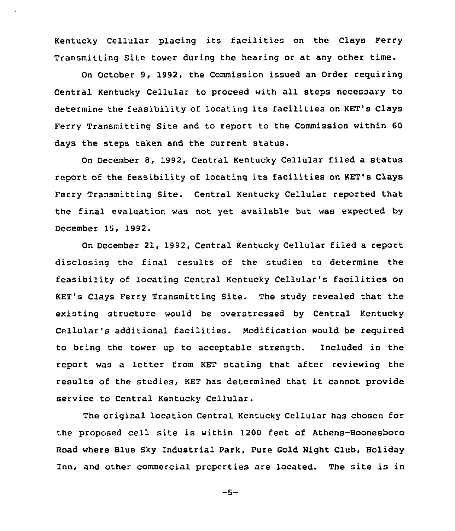Kentucky Cellular placinq its facilities on the Clays Ferry Transmitting Site tower during the hearing or at any other time.

On October 9, 1992, the Commission issued an Order requiring Central Kentucky Cellular to proceed with all steps necessary to determine the feasibility of locating its facilities on KET's Clays Ferry Transmitting Site and to report to the Commission within 60 days the steps taken and the current status.

On December 8, 1992, Central Kentucky Cellular filed a status report of the feasibility of locating its facilities on KET's Clays Ferry Transmitting Site. Central Kentucky Cellular reported that the final evaluation was not yet available but was expected by December 15, 1992.

On December 21, 1992, Central Kentucky Cellular filed a report disclosing the final results of the studies to determine the feasibility of locating Central Kentucky Cellular's facilities on KET's Clays Ferry Transmitting Site. The study revealed that the existing structure would be overstressed by Central Kentucky Cellular's additional facilities. Modification would be required to bring the tower up to acceptable strength. Included in the report was a letter from KET stating that after reviewing the results of the studies, KET has determined that it cannot provide service to Central Kentucky Cellular.

The original location Central Kentucky Cellular has chosen for the proposed cell site is within 1200 feet of Athens-Boonesboro Road where Blue Sky Industrial Park, Pure Gold Night Club, Holiday Inn, and other commercial properties are located. The site is in

 $-5-$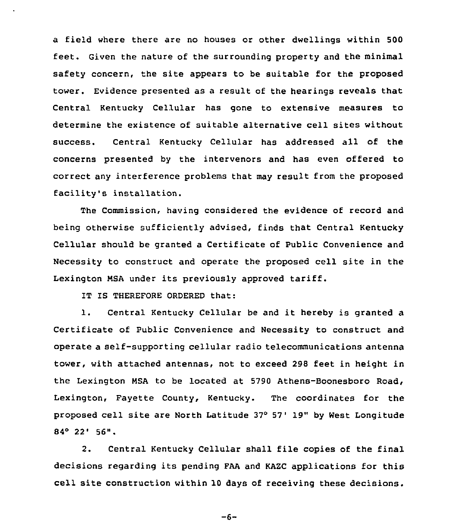a field where there are no houses or other dwellings within 500 feet. Given the nature of the surrounding property and the minimal safety concern, the site appears to be suitable for the proposed tower. Evidence presented as a result of the hearings reveals that Central Kentucky Cellular has gone to extensive measures to determine the existence of suitable alternative cell sites without success. Central Kentucky Cellular has addressed all of the concerns presented by the intervenors and has even offered to correct any interference problems that may result from the proposed facility's installation.

The Commission, having considered the evidence of record and being otherwise sufficiently advised, finds that Central Kentucky Cellular should be granted a Certificate of Public Convenience and Necessity to construct and operate the proposed cell site in the Lexington NSA under its previously approved tariff.

IT IS THEREFORE ORDERED that:

1. Central Kentucky Cellular be and it hereby is granted <sup>a</sup> Certificate of Public Convenience and Necessity to construct and operate a self-supporting cellular radio telecommunications antenna tower, with attached antennas, not to exceed 298 feet in height in the Lexington NSA to be located at 5790 Athens-Boonesboro Road, Lexington, Fayette County, Kentucky. The coordinates for the proposed cell site are North Latitude 37° 57' 19" by West Longitude  $84^{\circ}$  22' 56".

2. Central Kentucky Cellular shall file copies of the final decisions regarding its pending FAA and KAZC applications for this cell site construction within 10 days of receiving these decisions.

 $-6-$